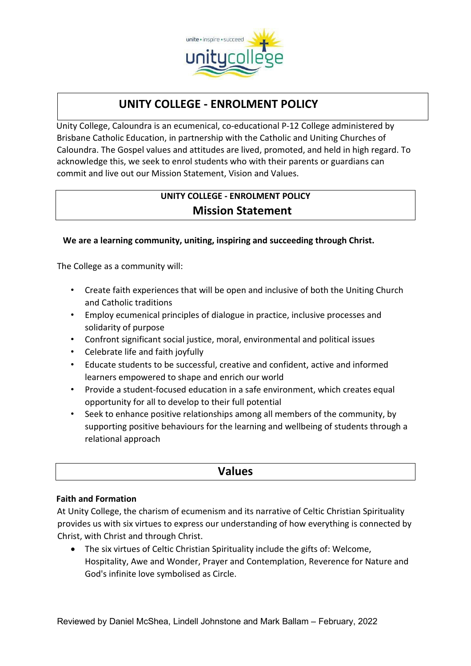

# **UNITY COLLEGE - ENROLMENT POLICY**

Unity College, Caloundra is an ecumenical, co-educational P-12 College administered by Brisbane Catholic Education, in partnership with the Catholic and Uniting Churches of Caloundra. The Gospel values and attitudes are lived, promoted, and held in high regard. To acknowledge this, we seek to enrol students who with their parents or guardians can commit and live out our Mission Statement, Vision and Values.

## **UNITY COLLEGE - ENROLMENT POLICY Mission Statement**

### **We are a learning community, uniting, inspiring and succeeding through Christ.**

The College as a community will:

- Create faith experiences that will be open and inclusive of both the Uniting Church and Catholic traditions
- Employ ecumenical principles of dialogue in practice, inclusive processes and solidarity of purpose
- Confront significant social justice, moral, environmental and political issues
- Celebrate life and faith joyfully
- Educate students to be successful, creative and confident, active and informed learners empowered to shape and enrich our world
- Provide a student-focused education in a safe environment, which creates equal opportunity for all to develop to their full potential
- Seek to enhance positive relationships among all members of the community, by supporting positive behaviours for the learning and wellbeing of students through a relational approach

| <b>Values</b> |
|---------------|
|               |

### **Faith and Formation**

At Unity College, the charism of ecumenism and its narrative of Celtic Christian Spirituality provides us with six virtues to express our understanding of how everything is connected by Christ, with Christ and through Christ.

• The six virtues of Celtic Christian Spirituality include the gifts of: Welcome, Hospitality, Awe and Wonder, Prayer and Contemplation, Reverence for Nature and God's infinite love symbolised as Circle.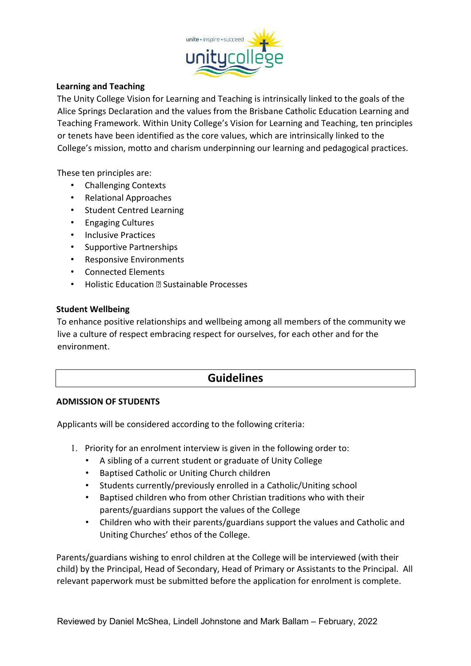

#### **Learning and Teaching**

The Unity College Vision for Learning and Teaching is intrinsically linked to the goals of the Alice Springs Declaration and the values from the Brisbane Catholic Education Learning and Teaching Framework. Within Unity College's Vision for Learning and Teaching, ten principles or tenets have been identified as the core values, which are intrinsically linked to the College's mission, motto and charism underpinning our learning and pedagogical practices.

These ten principles are:

- Challenging Contexts
- Relational Approaches
- Student Centred Learning
- Engaging Cultures
- Inclusive Practices
- Supportive Partnerships
- Responsive Environments
- Connected Elements
- **Holistic Education <b>P** Sustainable Processes

#### **Student Wellbeing**

To enhance positive relationships and wellbeing among all members of the community we live a culture of respect embracing respect for ourselves, for each other and for the environment.

## **Guidelines**

#### **ADMISSION OF STUDENTS**

Applicants will be considered according to the following criteria:

- 1. Priority for an enrolment interview is given in the following order to:
	- A sibling of a current student or graduate of Unity College
	- Baptised Catholic or Uniting Church children
	- Students currently/previously enrolled in a Catholic/Uniting school
	- Baptised children who from other Christian traditions who with their parents/guardians support the values of the College
	- Children who with their parents/guardians support the values and Catholic and Uniting Churches' ethos of the College.

Parents/guardians wishing to enrol children at the College will be interviewed (with their child) by the Principal, Head of Secondary, Head of Primary or Assistants to the Principal. All relevant paperwork must be submitted before the application for enrolment is complete.